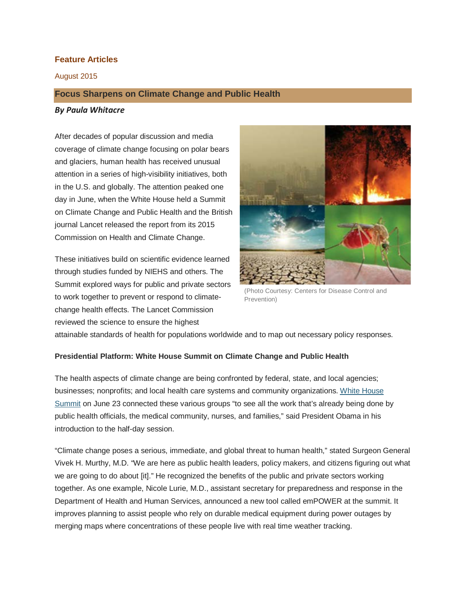# **Feature Articles**

August 2015

# **Focus Sharpens on Climate Change and Public Health**

### *By Paula Whitacre*

After decades of popular discussion and media coverage of climate change focusing on polar bears and glaciers, human health has received unusual attention in a series of high-visibility initiatives, both in the U.S. and globally. The attention peaked one day in June, when the White House held a Summit on Climate Change and Public Health and the British journal Lancet released the report from its 2015 Commission on Health and Climate Change.

These initiatives build on scientific evidence learned through studies funded by NIEHS and others. The Summit explored ways for public and private sectors to work together to prevent or respond to climatechange health effects. The Lancet Commission reviewed the science to ensure the highest



(Photo Courtesy: Centers for Disease Control and Prevention)

attainable standards of health for populations worldwide and to map out necessary policy responses.

## **Presidential Platform: White House Summit on Climate Change and Public Health**

The health aspects of climate change are being confronted by federal, state, and local agencies; businesses; nonprofits; and local health care systems and community organizations. White [House](https://www.youtube.com/watch?v=5OTeoMHZkrI) [Summit](https://www.youtube.com/watch?v=5OTeoMHZkrI) on June 23 connected these various groups "to see all the work that's already being done by public health officials, the medical community, nurses, and families," said President Obama in his introduction to the half-day session.

"Climate change poses a serious, immediate, and global threat to human health," stated Surgeon General Vivek H. Murthy, M.D. "We are here as public health leaders, policy makers, and citizens figuring out what we are going to do about [it]." He recognized the benefits of the public and private sectors working together. As one example, Nicole Lurie, M.D., assistant secretary for preparedness and response in the Department of Health and Human Services, announced a new tool called emPOWER at the summit. It improves planning to assist people who rely on durable medical equipment during power outages by merging maps where concentrations of these people live with real time weather tracking.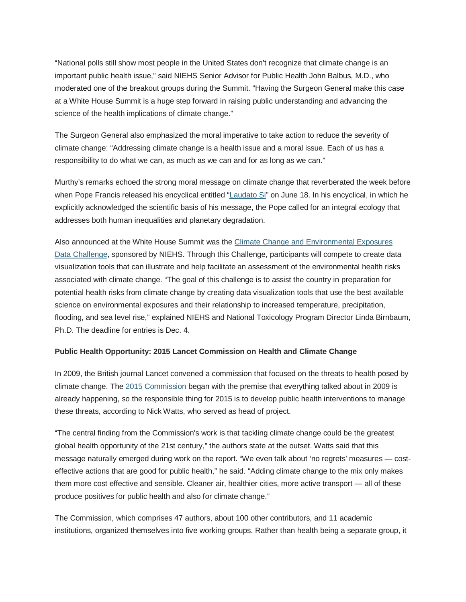"National polls still show most people in the United States don't recognize that climate change is an important public health issue," said NIEHS Senior Advisor for Public Health John Balbus, M.D., who moderated one of the breakout groups during the Summit. "Having the Surgeon General make this case at a White House Summit is a huge step forward in raising public understanding and advancing the science of the health implications of climate change."

The Surgeon General also emphasized the moral imperative to take action to reduce the severity of climate change: "Addressing climate change is a health issue and a moral issue. Each of us has a responsibility to do what we can, as much as we can and for as long as we can."

Murthy's remarks echoed the strong moral message on climate change that reverberated the week before when Pope Francis released his encyclical entitled ["Laudato Si"](http://w2.vatican.va/content/francesco/en/encyclicals/documents/papa-francesco_20150524_enciclica-laudato-si.html) on June 18. In his encyclical, in which he explicitly acknowledged the scientific basis of his message, the Pope called for an integral ecology that addresses both human inequalities and planetary degradation.

Also announced at the White House Summit was the Climate Change and [Environmental](https://www.challenge.gov/agency/health-and-human-services/climate-and-health-innovation-challenge-series/) Exposures Data [Challenge,](https://www.challenge.gov/agency/health-and-human-services/climate-and-health-innovation-challenge-series/) sponsored by NIEHS. Through this Challenge, participants will compete to create data visualization tools that can illustrate and help facilitate an assessment of the environmental health risks associated with climate change. "The goal of this challenge is to assist the country in preparation for potential health risks from climate change by creating data visualization tools that use the best available science on environmental exposures and their relationship to increased temperature, precipitation, flooding, and sea level rise," explained NIEHS and National Toxicology Program Director Linda Birnbaum, Ph.D. The deadline for entries is Dec. 4.

# **Public Health Opportunity: 2015 Lancet Commission on Health and Climate Change**

In 2009, the British journal Lancet convened a commission that focused on the threats to health posed by climate change. The 2015 [Commission](http://www.thelancet.com/commissions/climate-change-2015) began with the premise that everything talked about in 2009 is already happening, so the responsible thing for 2015 is to develop public health interventions to manage these threats, according to Nick Watts, who served as head of project.

"The central finding from the Commission's work is that tackling climate change could be the greatest global health opportunity of the 21st century," the authors state at the outset. Watts said that this message naturally emerged during work on the report. "We even talk about 'no regrets' measures — costeffective actions that are good for public health," he said. "Adding climate change to the mix only makes them more cost effective and sensible. Cleaner air, healthier cities, more active transport — all of these produce positives for public health and also for climate change."

The Commission, which comprises 47 authors, about 100 other contributors, and 11 academic institutions, organized themselves into five working groups. Rather than health being a separate group, it